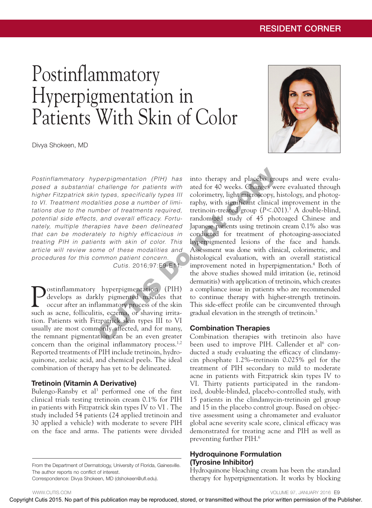# Postinflammatory Hyperpigmentation in Patients With Skin of Color

Divya Shokeen, MD



*Postinflammatory hyperpigmentation (PIH) has posed a substantial challenge for patients with higher Fitzpatrick skin types, specifically types III to VI. Treatment modalities pose a number of limitations due to the number of treatments required, potential side effects, and overall efficacy. Fortunately, multiple therapies have been delineated that can be moderately to highly efficacious in treating PIH in patients with skin of color. This article will review some of these modalities and procedures for this common patient concern. Cutis.* 2016;97:E9-E11.

Postinflammatory hyperpigmentation (PIH) develops as darkly pigmented macules that occur after an inflammatory process of the skin such as acne, folliculitis, eczema, or shaving irritation. Patients with Fitzpatrick skin types III to VI usually are most commonly affected, and for many, the remnant pigmentation can be an even greater concern than the original inflammatory process. $1,2$ Reported treatments of PIH include tretinoin, hydroquinone, azelaic acid, and chemical peels. The ideal combination of therapy has yet to be delineated.

## Tretinoin (Vitamin A Derivative)

Bulengo-Ransby et al<sup>3</sup> performed one of the first clinical trials testing tretinoin cream 0.1% for PIH in patients with Fitzpatrick skin types IV to VI . The study included 54 patients (24 applied tretinoin and 30 applied a vehicle) with moderate to severe PIH on the face and arms. The patients were divided

From the Department of Dermatology, University of Florida, Gainesville. The author reports no conflict of interest.

Correspondence: Divya Shokeen, MD (dshokeen@ufl.edu).

into therapy and placebo groups and were evaluated for 40 weeks. Changes were evaluated through colorimetry, light microscopy, histology, and photography, with significant clinical improvement in the tretinoin-treated group (*P*<.001).3 A double-blind, randomized study of 45 photoaged Chinese and Japanese patients using tretinoin cream 0.1% also was conducted for treatment of photoaging-associated hyperpigmented lesions of the face and hands. Assessment was done with clinical, colorimetric, and histological evaluation, with an overall statistical improvement noted in hyperpigmentation.4 Both of the above studies showed mild irritation (ie, retinoid dermatitis) with application of tretinoin, which creates a compliance issue in patients who are recommended to continue therapy with higher-strength tretinoin. This side-effect profile can be circumvented through gradual elevation in the strength of tretinoin.<sup>5</sup> Positivizion and propriation of CHU box intuitive permission may be related and the propriation may be related with the propriation may be related without permission control or transmitted with  $\theta$  the Publication may be

#### Combination Therapies

Combination therapies with tretinoin also have been used to improve PIH. Callender et al<sup>6</sup> conducted a study evaluating the efficacy of clindamycin phosphate 1.2%–tretinoin 0.025% gel for the treatment of PIH secondary to mild to moderate acne in patients with Fitzpatrick skin types IV to VI. Thirty patients participated in the randomized, double-blinded, placebo-controlled study, with 15 patients in the clindamycin-tretinoin gel group and 15 in the placebo control group. Based on objective assessment using a chromameter and evaluator global acne severity scale score, clinical efficacy was demonstrated for treating acne and PIH as well as preventing further PIH.6

#### Hydroquinone Formulation (Tyrosine Inhibitor)

Hydroquinone bleaching cream has been the standard therapy for hyperpigmentation. It works by blocking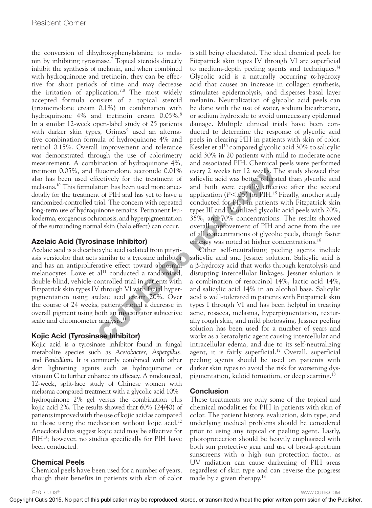the conversion of dihydroxyphenylalanine to melanin by inhibiting tyrosinase.7 Topical steroids directly inhibit the synthesis of melanin, and when combined with hydroquinone and tretinoin, they can be effective for short periods of time and may decrease the irritation of application.<sup>7,8</sup> The most widely accepted formula consists of a topical steroid (triamcinolone cream 0.1%) in combination with hydroquinone 4% and tretinoin cream 0.05%.<sup>8</sup> In a similar 12-week open-label study of 25 patients with darker skin types, Grimes<sup>9</sup> used an alternative combination formula of hydroquinone 4% and retinol 0.15%. Overall improvement and tolerance was demonstrated through the use of colorimetry measurement. A combination of hydroquinone 4%, tretinoin 0.05%, and fluocinolone acetonide 0.01% also has been used effectively for the treatment of melasma.10 This formulation has been used more anecdotally for the treatment of PIH and has yet to have a randomized-controlled trial. The concern with repeated long-term use of hydroquinone remains. Permanent leukoderma, exogenous ochronosis, and hyperpigmentation of the surrounding normal skin (halo effect) can occur.

## Azelaic Acid (Tyrosinase Inhibitor)

Azelaic acid is a dicarboxylic acid isolated from pityriasis versicolor that acts similar to a tyrosine inhibitor and has an antiproliferative effect toward abnormal melanocytes. Lowe et  $al<sup>11</sup>$  conducted a randomized, double-blind, vehicle-controlled trial in patients with Fitzpatrick skin types IV through VI with facial hyperpigmentation using azelaic acid cream 20%. Over the course of 24 weeks, patients noted a decrease in overall pigment using both an investigator subjective scale and chromometer analysis.<sup>11</sup>

# Kojic Acid (Tyrosinase Inhibitor)

Kojic acid is a tyrosinase inhibitor found in fungal metabolite species such as *Acetobacter, Aspergillus,*  and *Penicillium*. It is commonly combined with other skin lightening agents such as hydroquinone or vitamin C to further enhance its efficacy. A randomized, 12-week, split-face study of Chinese women with melasma compared treatment with a glycolic acid 10%– hydroquinone 2% gel versus the combination plus kojic acid 2%. The results showed that 60% (24/40) of patients improved with the use of kojic acid as compared to those using the medication without kojic acid.<sup>12</sup> Anecdotal data suggest kojic acid may be effective for PIH<sup>13</sup>; however, no studies specifically for PIH have been conducted.

# Chemical Peels

Chemical peels have been used for a number of years, though their benefits in patients with skin of color is still being elucidated. The ideal chemical peels for Fitzpatrick skin types IV through VI are superficial to medium-depth peeling agents and techniques.<sup>14</sup> Glycolic acid is a naturally occurring  $\alpha$ -hydroxy acid that causes an increase in collagen synthesis, stimulates epidermolysis, and disperses basal layer melanin. Neutralization of glycolic acid peels can be done with the use of water, sodium bicarbonate, or sodium hydroxide to avoid unnecessary epidermal damage. Multiple clinical trials have been conducted to determine the response of glycolic acid peels in clearing PIH in patients with skin of color. Kessler et al<sup>15</sup> compared glycolic acid 30% to salicylic acid 30% in 20 patients with mild to moderate acne and associated PIH. Chemical peels were performed every 2 weeks for 12 weeks. The study showed that salicylic acid was better tolerated than glycolic acid and both were equally effective after the second application (*P*<.05) for PIH.15 Finally, another study conducted for PIH in patients with Fitzpatrick skin types III and IV utilized glycolic acid peels with 20%, 35%, and 70% concentrations. The results showed overall improvement of PIH and acne from the use of all concentrations of glycolic peels, though faster efficacy was noted at higher concentrations.<sup>16</sup>

Other self-neutralizing peeling agents include salicylic acid and Jessner solution. Salicylic acid is a β-hydroxy acid that works through keratolysis and disrupting intercellular linkages. Jessner solution is a combination of resorcinol 14%, lactic acid 14%, and salicylic acid 14% in an alcohol base. Salicylic acid is well-tolerated in patients with Fitzpatrick skin types I through VI and has been helpful in treating acne, rosacea, melasma, hyperpigmentation, texturally rough skin, and mild photoaging. Jessner peeling solution has been used for a number of years and works as a keratolytic agent causing intercellular and intracellular edema, and due to its self-neutralizing agent, it is fairly superficial.<sup>17</sup> Overall, superficial peeling agents should be used on patients with darker skin types to avoid the risk for worsening dyspigmentation, keloid formation, or deep scarring.18 rection). Copyright Cutis 2015. And the combined are combined at the combine may be reproduced that the combine may be reproduced with the combine may be reproduced with the combine may be reproduced with the combine may

## Conclusion

These treatments are only some of the topical and chemical modalities for PIH in patients with skin of color. The patient history, evaluation, skin type, and underlying medical problems should be considered prior to using any topical or peeling agent. Lastly, photoprotection should be heavily emphasized with both sun protective gear and use of broad-spectrum sunscreens with a high sun protection factor, as UV radiation can cause darkening of PIH areas regardless of skin type and can reverse the progress made by a given therapy.18